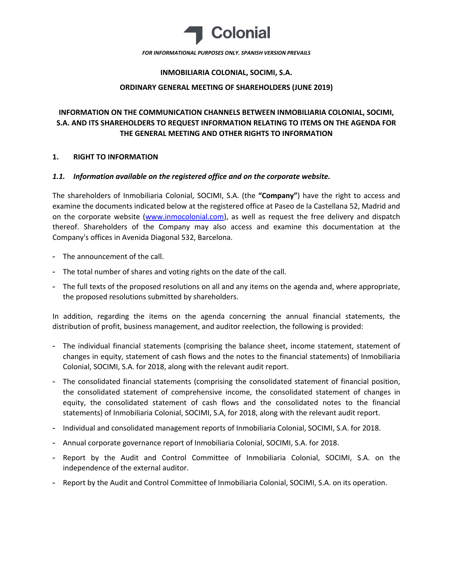

*FOR INFORMATIONAL PURPOSES ONLY. SPANISH VERSION PREVAILS*

#### **INMOBILIARIA COLONIAL, SOCIMI, S.A.**

#### **ORDINARY GENERAL MEETING OF SHAREHOLDERS (JUNE 2019)**

# **INFORMATION ON THE COMMUNICATION CHANNELS BETWEEN INMOBILIARIA COLONIAL, SOCIMI, S.A. AND ITS SHAREHOLDERS TO REQUEST INFORMATION RELATING TO ITEMS ON THE AGENDA FOR THE GENERAL MEETING AND OTHER RIGHTS TO INFORMATION**

### **1. RIGHT TO INFORMATION**

### *1.1. Information available on the registered office and on the corporate website.*

The shareholders of Inmobiliaria Colonial, SOCIMI, S.A. (the **"Company"**) have the right to access and examine the documents indicated below at the registered office at Paseo de la Castellana 52, Madrid and on the corporate website [\(www.inmocolonial.com\)](http://www.inmocolonial.com/), as well as request the free delivery and dispatch thereof. Shareholders of the Company may also access and examine this documentation at the Company's offices in Avenida Diagonal 532, Barcelona.

- The announcement of the call.
- The total number of shares and voting rights on the date of the call.
- The full texts of the proposed resolutions on all and any items on the agenda and, where appropriate, the proposed resolutions submitted by shareholders.

In addition, regarding the items on the agenda concerning the annual financial statements, the distribution of profit, business management, and auditor reelection, the following is provided:

- The individual financial statements (comprising the balance sheet, income statement, statement of changes in equity, statement of cash flows and the notes to the financial statements) of Inmobiliaria Colonial, SOCIMI, S.A. for 2018, along with the relevant audit report.
- The consolidated financial statements (comprising the consolidated statement of financial position, the consolidated statement of comprehensive income, the consolidated statement of changes in equity, the consolidated statement of cash flows and the consolidated notes to the financial statements) of Inmobiliaria Colonial, SOCIMI, S.A, for 2018, along with the relevant audit report.
- Individual and consolidated management reports of Inmobiliaria Colonial, SOCIMI, S.A. for 2018.
- Annual corporate governance report of Inmobiliaria Colonial, SOCIMI, S.A. for 2018.
- Report by the Audit and Control Committee of Inmobiliaria Colonial, SOCIMI, S.A. on the independence of the external auditor.
- Report by the Audit and Control Committee of Inmobiliaria Colonial, SOCIMI, S.A. on its operation.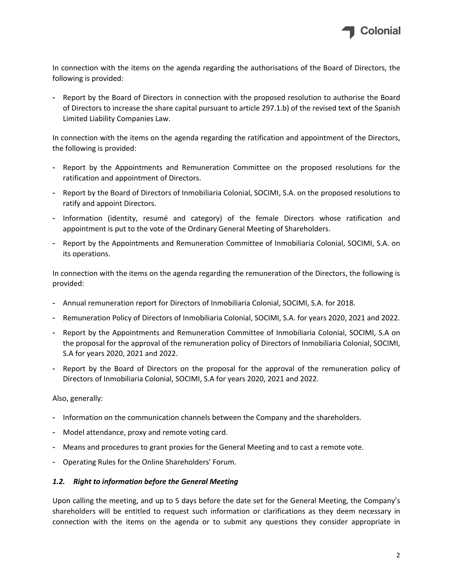

In connection with the items on the agenda regarding the authorisations of the Board of Directors, the following is provided:

- Report by the Board of Directors in connection with the proposed resolution to authorise the Board of Directors to increase the share capital pursuant to article 297.1.b) of the revised text of the Spanish Limited Liability Companies Law.

In connection with the items on the agenda regarding the ratification and appointment of the Directors, the following is provided:

- Report by the Appointments and Remuneration Committee on the proposed resolutions for the ratification and appointment of Directors.
- Report by the Board of Directors of Inmobiliaria Colonial, SOCIMI, S.A. on the proposed resolutions to ratify and appoint Directors.
- Information (identity, resumé and category) of the female Directors whose ratification and appointment is put to the vote of the Ordinary General Meeting of Shareholders.
- Report by the Appointments and Remuneration Committee of Inmobiliaria Colonial, SOCIMI, S.A. on its operations.

In connection with the items on the agenda regarding the remuneration of the Directors, the following is provided:

- Annual remuneration report for Directors of Inmobiliaria Colonial, SOCIMI, S.A. for 2018.
- Remuneration Policy of Directors of Inmobiliaria Colonial, SOCIMI, S.A. for years 2020, 2021 and 2022.
- Report by the Appointments and Remuneration Committee of Inmobiliaria Colonial, SOCIMI, S.A on the proposal for the approval of the remuneration policy of Directors of Inmobiliaria Colonial, SOCIMI, S.A for years 2020, 2021 and 2022.
- Report by the Board of Directors on the proposal for the approval of the remuneration policy of Directors of Inmobiliaria Colonial, SOCIMI, S.A for years 2020, 2021 and 2022.

Also, generally:

- Information on the communication channels between the Company and the shareholders.
- Model attendance, proxy and remote voting card.
- Means and procedures to grant proxies for the General Meeting and to cast a remote vote.
- Operating Rules for the Online Shareholders' Forum.

#### *1.2. Right to information before the General Meeting*

Upon calling the meeting, and up to 5 days before the date set for the General Meeting, the Company's shareholders will be entitled to request such information or clarifications as they deem necessary in connection with the items on the agenda or to submit any questions they consider appropriate in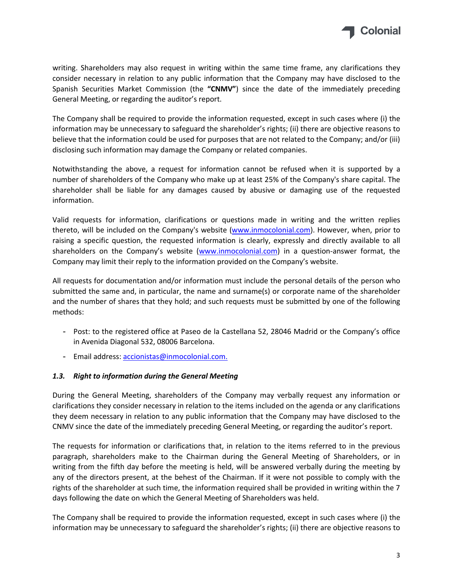

writing. Shareholders may also request in writing within the same time frame, any clarifications they consider necessary in relation to any public information that the Company may have disclosed to the Spanish Securities Market Commission (the **"CNMV"**) since the date of the immediately preceding General Meeting, or regarding the auditor's report.

The Company shall be required to provide the information requested, except in such cases where (i) the information may be unnecessary to safeguard the shareholder's rights; (ii) there are objective reasons to believe that the information could be used for purposes that are not related to the Company; and/or (iii) disclosing such information may damage the Company or related companies.

Notwithstanding the above, a request for information cannot be refused when it is supported by a number of shareholders of the Company who make up at least 25% of the Company's share capital. The shareholder shall be liable for any damages caused by abusive or damaging use of the requested information.

Valid requests for information, clarifications or questions made in writing and the written replies thereto, will be included on the Company's website [\(www.inmocolonial.com\)](http://www.inmocolonial.com/). However, when, prior to raising a specific question, the requested information is clearly, expressly and directly available to all shareholders on the Company's website [\(www.inmocolonial.com](http://www.inmocolonial.com/)) in a question-answer format, the Company may limit their reply to the information provided on the Company's website.

All requests for documentation and/or information must include the personal details of the person who submitted the same and, in particular, the name and surname(s) or corporate name of the shareholder and the number of shares that they hold; and such requests must be submitted by one of the following methods:

- Post: to the registered office at Paseo de la Castellana 52, 28046 Madrid or the Company's office in Avenida Diagonal 532, 08006 Barcelona.
- Email address: [accionistas@inmocolonial.com.](mailto:accionistas@inmocolonial.com)

## *1.3. Right to information during the General Meeting*

During the General Meeting, shareholders of the Company may verbally request any information or clarifications they consider necessary in relation to the items included on the agenda or any clarifications they deem necessary in relation to any public information that the Company may have disclosed to the CNMV since the date of the immediately preceding General Meeting, or regarding the auditor's report.

The requests for information or clarifications that, in relation to the items referred to in the previous paragraph, shareholders make to the Chairman during the General Meeting of Shareholders, or in writing from the fifth day before the meeting is held, will be answered verbally during the meeting by any of the directors present, at the behest of the Chairman. If it were not possible to comply with the rights of the shareholder at such time, the information required shall be provided in writing within the 7 days following the date on which the General Meeting of Shareholders was held.

The Company shall be required to provide the information requested, except in such cases where (i) the information may be unnecessary to safeguard the shareholder's rights; (ii) there are objective reasons to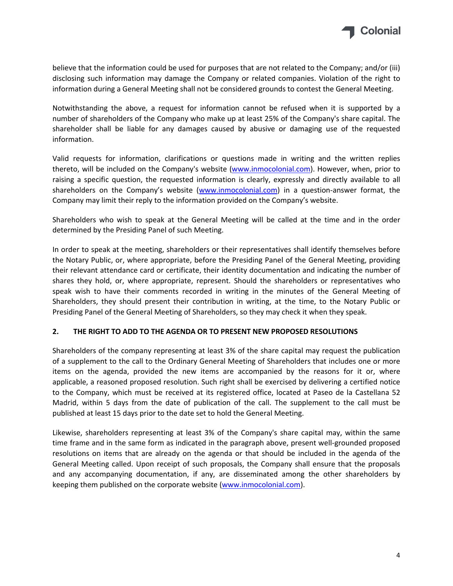

believe that the information could be used for purposes that are not related to the Company; and/or (iii) disclosing such information may damage the Company or related companies. Violation of the right to information during a General Meeting shall not be considered grounds to contest the General Meeting.

Notwithstanding the above, a request for information cannot be refused when it is supported by a number of shareholders of the Company who make up at least 25% of the Company's share capital. The shareholder shall be liable for any damages caused by abusive or damaging use of the requested information.

Valid requests for information, clarifications or questions made in writing and the written replies thereto, will be included on the Company's website [\(www.inmocolonial.com\)](http://www.inmocolonial.com/). However, when, prior to raising a specific question, the requested information is clearly, expressly and directly available to all shareholders on the Company's website [\(www.inmocolonial.com](http://www.inmocolonial.com/)) in a question-answer format, the Company may limit their reply to the information provided on the Company's website.

Shareholders who wish to speak at the General Meeting will be called at the time and in the order determined by the Presiding Panel of such Meeting.

In order to speak at the meeting, shareholders or their representatives shall identify themselves before the Notary Public, or, where appropriate, before the Presiding Panel of the General Meeting, providing their relevant attendance card or certificate, their identity documentation and indicating the number of shares they hold, or, where appropriate, represent. Should the shareholders or representatives who speak wish to have their comments recorded in writing in the minutes of the General Meeting of Shareholders, they should present their contribution in writing, at the time, to the Notary Public or Presiding Panel of the General Meeting of Shareholders, so they may check it when they speak.

## **2. THE RIGHT TO ADD TO THE AGENDA OR TO PRESENT NEW PROPOSED RESOLUTIONS**

Shareholders of the company representing at least 3% of the share capital may request the publication of a supplement to the call to the Ordinary General Meeting of Shareholders that includes one or more items on the agenda, provided the new items are accompanied by the reasons for it or, where applicable, a reasoned proposed resolution. Such right shall be exercised by delivering a certified notice to the Company, which must be received at its registered office, located at Paseo de la Castellana 52 Madrid, within 5 days from the date of publication of the call. The supplement to the call must be published at least 15 days prior to the date set to hold the General Meeting.

Likewise, shareholders representing at least 3% of the Company's share capital may, within the same time frame and in the same form as indicated in the paragraph above, present well-grounded proposed resolutions on items that are already on the agenda or that should be included in the agenda of the General Meeting called. Upon receipt of such proposals, the Company shall ensure that the proposals and any accompanying documentation, if any, are disseminated among the other shareholders by keeping them published on the corporate website [\(www.inmocolonial.com](http://www.inmocolonial.com/)).